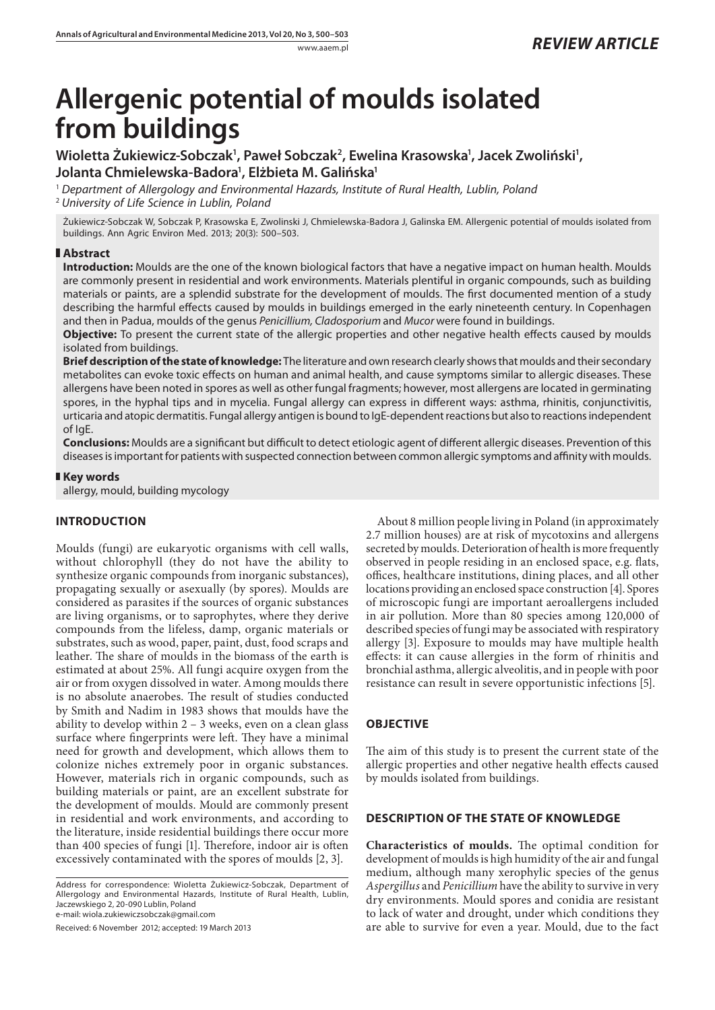# **Allergenic potential of moulds isolated from buildings**

Wioletta Żukiewicz-Sobczak<sup>1</sup>, Paweł Sobczak<sup>2</sup>, Ewelina Krasowska<sup>1</sup>, Jacek Zwoliński<sup>1</sup>, **Jolanta Chmielewska-Badora1 , Elżbieta M. Galińska1**

<sup>1</sup> *Department of Allergology and Environmental Hazards, Institute of Rural Health, Lublin, Poland* <sup>2</sup> *University of Life Science in Lublin, Poland*

Żukiewicz-Sobczak W, Sobczak P, Krasowska E, Zwolinski J, Chmielewska-Badora J, Galinska EM. Allergenic potential of moulds isolated from buildings. Ann Agric Environ Med. 2013; 20(3): 500–503.

## **Abstract**

**Introduction:** Moulds are the one of the known biological factors that have a negative impact on human health. Moulds are commonly present in residential and work environments. Materials plentiful in organic compounds, such as building materials or paints, are a splendid substrate for the development of moulds. The first documented mention of a study describing the harmful effects caused by moulds in buildings emerged in the early nineteenth century. In Copenhagen and then in Padua, moulds of the genus *Penicillium, Cladosporium* and *Mucor* were found in buildings.

**Objective:** To present the current state of the allergic properties and other negative health effects caused by moulds isolated from buildings.

**Brief description of the state of knowledge:** The literature and own research clearly shows that moulds and their secondary metabolites can evoke toxic effects on human and animal health, and cause symptoms similar to allergic diseases. These allergens have been noted in spores as well as other fungal fragments; however, most allergens are located in germinating spores, in the hyphal tips and in mycelia. Fungal allergy can express in different ways: asthma, rhinitis, conjunctivitis, urticaria and atopic dermatitis. Fungal allergy antigen is bound to IgE-dependent reactions but also to reactions independent of IgE.

**Conclusions:** Moulds are a significant but difficult to detect etiologic agent of different allergic diseases. Prevention of this diseases is important for patients with suspected connection between common allergic symptoms and affinity with moulds.

## **Key words**

allergy, mould, building mycology

## **INTRODUCTION**

Moulds (fungi) are eukaryotic organisms with cell walls, without chlorophyll (they do not have the ability to synthesize organic compounds from inorganic substances), propagating sexually or asexually (by spores). Moulds are considered as parasites if the sources of organic substances are living organisms, or to saprophytes, where they derive compounds from the lifeless, damp, organic materials or substrates, such as wood, paper, paint, dust, food scraps and leather. The share of moulds in the biomass of the earth is estimated at about 25%. All fungi acquire oxygen from the air or from oxygen dissolved in water. Among moulds there is no absolute anaerobes. The result of studies conducted by Smith and Nadim in 1983 shows that moulds have the ability to develop within  $2 - 3$  weeks, even on a clean glass surface where fingerprints were left. They have a minimal need for growth and development, which allows them to colonize niches extremely poor in organic substances. However, materials rich in organic compounds, such as building materials or paint, are an excellent substrate for the development of moulds. Mould are commonly present in residential and work environments, and according to the literature, inside residential buildings there occur more than 400 species of fungi [1]. Therefore, indoor air is often excessively contaminated with the spores of moulds [2, 3].

Address for correspondence: Wioletta Żukiewicz-Sobczak, Department of Allergology and Environmental Hazards, Institute of Rural Health, Lublin, Jaczewskiego 2, 20-090 Lublin, Poland e-mail: wiola.zukiewiczsobczak@gmail.com

Received: 6 November 2012; accepted: 19 March 2013

About 8 million people living in Poland (in approximately 2.7 million houses) are at risk of mycotoxins and allergens secreted by moulds. Deterioration of health is more frequently observed in people residing in an enclosed space, e.g. flats, offices, healthcare institutions, dining places, and all other locations providing an enclosed space construction [4]. Spores of microscopic fungi are important aeroallergens included in air pollution. More than 80 species among 120,000 of described species of fungi may be associated with respiratory allergy [3]. Exposure to moulds may have multiple health effects: it can cause allergies in the form of rhinitis and bronchial asthma, allergic alveolitis, and in people with poor resistance can result in severe opportunistic infections [5].

## **OBJECTIVE**

The aim of this study is to present the current state of the allergic properties and other negative health effects caused by moulds isolated from buildings.

## **DESCRIPTION OF THE STATE OF KNOWLEDGE**

**Characteristics of moulds.** The optimal condition for development of moulds is high humidity of the air and fungal medium, although many xerophylic species of the genus *Aspergillus* and *Penicillium* have the ability to survive in very dry environments. Mould spores and conidia are resistant to lack of water and drought, under which conditions they are able to survive for even a year. Mould, due to the fact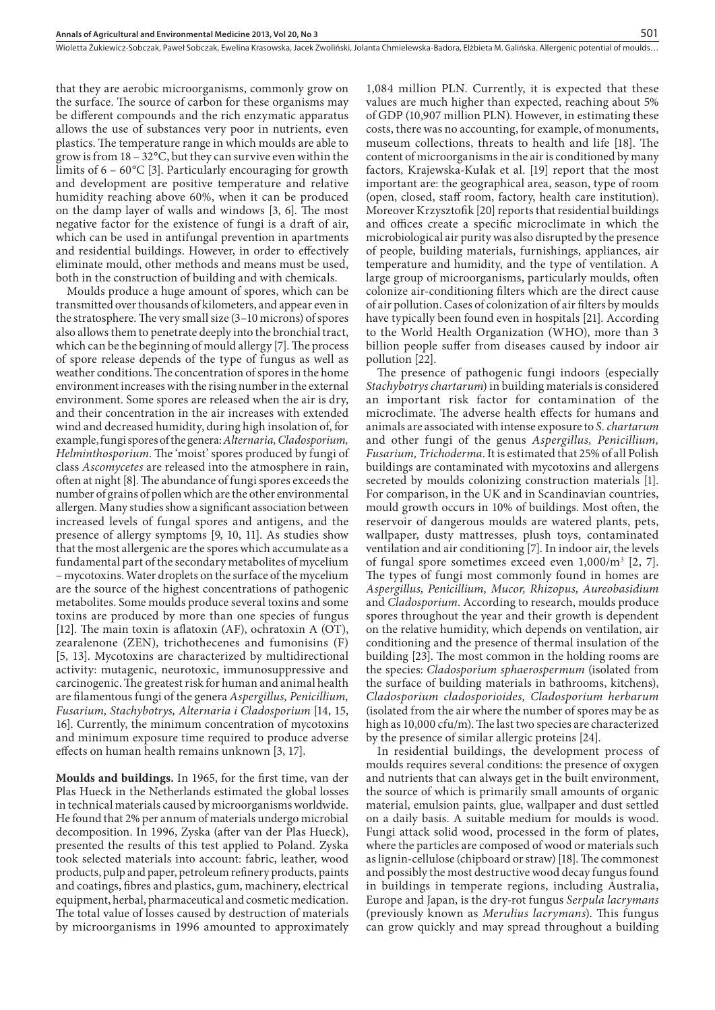that they are aerobic microorganisms, commonly grow on the surface. The source of carbon for these organisms may be different compounds and the rich enzymatic apparatus allows the use of substances very poor in nutrients, even plastics. The temperature range in which moulds are able to grow is from 18 – 32°C, but they can survive even within the limits of 6 – 60°C [3]. Particularly encouraging for growth and development are positive temperature and relative humidity reaching above 60%, when it can be produced on the damp layer of walls and windows [3, 6]. The most negative factor for the existence of fungi is a draft of air, which can be used in antifungal prevention in apartments and residential buildings. However, in order to effectively eliminate mould, other methods and means must be used, both in the construction of building and with chemicals.

Moulds produce a huge amount of spores, which can be transmitted over thousands of kilometers, and appear even in the stratosphere. The very small size (3–10 microns) of spores also allows them to penetrate deeply into the bronchial tract, which can be the beginning of mould allergy [7]. The process of spore release depends of the type of fungus as well as weather conditions. The concentration of spores in the home environment increases with the rising number in the external environment. Some spores are released when the air is dry, and their concentration in the air increases with extended wind and decreased humidity, during high insolation of, for example, fungi spores of the genera: *Alternaria, Cladosporium, Helminthosporium*. The 'moist' spores produced by fungi of class *Ascomycetes* are released into the atmosphere in rain, often at night [8]. The abundance of fungi spores exceeds the number of grains of pollen which are the other environmental allergen. Many studies show a significant association between increased levels of fungal spores and antigens, and the presence of allergy symptoms [9, 10, 11]. As studies show that the most allergenic are the spores which accumulate as a fundamental part of the secondary metabolites of mycelium – mycotoxins. Water droplets on the surface of the mycelium are the source of the highest concentrations of pathogenic metabolites. Some moulds produce several toxins and some toxins are produced by more than one species of fungus [12]. The main toxin is aflatoxin (AF), ochratoxin A (OT), zearalenone (ZEN), trichothecenes and fumonisins (F) [5, 13]. Mycotoxins are characterized by multidirectional activity: mutagenic, neurotoxic, immunosuppressive and carcinogenic. The greatest risk for human and animal health are filamentous fungi of the genera *Aspergillus, Penicillium, Fusarium, Stachybotrys, Alternaria i Cladosporium* [14, 15, 16]. Currently, the minimum concentration of mycotoxins and minimum exposure time required to produce adverse effects on human health remains unknown [3, 17].

**Moulds and buildings.** In 1965, for the first time, van der Plas Hueck in the Netherlands estimated the global losses in technical materials caused by microorganisms worldwide. He found that 2% per annum of materials undergo microbial decomposition. In 1996, Zyska (after van der Plas Hueck), presented the results of this test applied to Poland. Zyska took selected materials into account: fabric, leather, wood products, pulp and paper, petroleum refinery products, paints and coatings, fibres and plastics, gum, machinery, electrical equipment, herbal, pharmaceutical and cosmetic medication. The total value of losses caused by destruction of materials by microorganisms in 1996 amounted to approximately

1,084 million PLN. Currently, it is expected that these values are much higher than expected, reaching about 5% of GDP (10,907 million PLN). However, in estimating these costs, there was no accounting, for example, of monuments, museum collections, threats to health and life [18]. The content of microorganisms in the air is conditioned by many factors, Krajewska-Kułak et al. [19] report that the most important are: the geographical area, season, type of room (open, closed, staff room, factory, health care institution). Moreover Krzysztofik [20] reports that residential buildings and offices create a specific microclimate in which the microbiological air purity was also disrupted by the presence of people, building materials, furnishings, appliances, air temperature and humidity, and the type of ventilation. A large group of microorganisms, particularly moulds, often colonize air-conditioning filters which are the direct cause of air pollution. Cases of colonization of air filters by moulds have typically been found even in hospitals [21]. According to the World Health Organization (WHO), more than 3 billion people suffer from diseases caused by indoor air pollution [22].

501

The presence of pathogenic fungi indoors (especially *Stachybotrys chartarum*) in building materials is considered an important risk factor for contamination of the microclimate. The adverse health effects for humans and animals are associated with intense exposure to *S. chartarum* and other fungi of the genus *Aspergillus, Penicillium, Fusarium, Trichoderma*. It is estimated that 25% of all Polish buildings are contaminated with mycotoxins and allergens secreted by moulds colonizing construction materials [1]. For comparison, in the UK and in Scandinavian countries, mould growth occurs in 10% of buildings. Most often, the reservoir of dangerous moulds are watered plants, pets, wallpaper, dusty mattresses, plush toys, contaminated ventilation and air conditioning [7]. In indoor air, the levels of fungal spore sometimes exceed even 1,000/m3 [2, 7]. The types of fungi most commonly found in homes are *Aspergillus, Penicillium, Mucor, Rhizopus, Aureobasidium* and *Cladosporium*. According to research, moulds produce spores throughout the year and their growth is dependent on the relative humidity, which depends on ventilation, air conditioning and the presence of thermal insulation of the building [23]. The most common in the holding rooms are the species: *Cladosporium sphaerospermum* (isolated from the surface of building materials in bathrooms, kitchens), *Cladosporium cladosporioides, Cladosporium herbarum* (isolated from the air where the number of spores may be as high as 10,000 cfu/m). The last two species are characterized by the presence of similar allergic proteins [24].

In residential buildings, the development process of moulds requires several conditions: the presence of oxygen and nutrients that can always get in the built environment, the source of which is primarily small amounts of organic material, emulsion paints, glue, wallpaper and dust settled on a daily basis. A suitable medium for moulds is wood. Fungi attack solid wood, processed in the form of plates, where the particles are composed of wood or materials such as lignin-cellulose (chipboard or straw) [18]. The commonest and possibly the most destructive wood decay fungus found in buildings in temperate regions, including Australia, Europe and Japan, is the dry-rot fungus *Serpula lacrymans* (previously known as *Merulius lacrymans*). This fungus can grow quickly and may spread throughout a building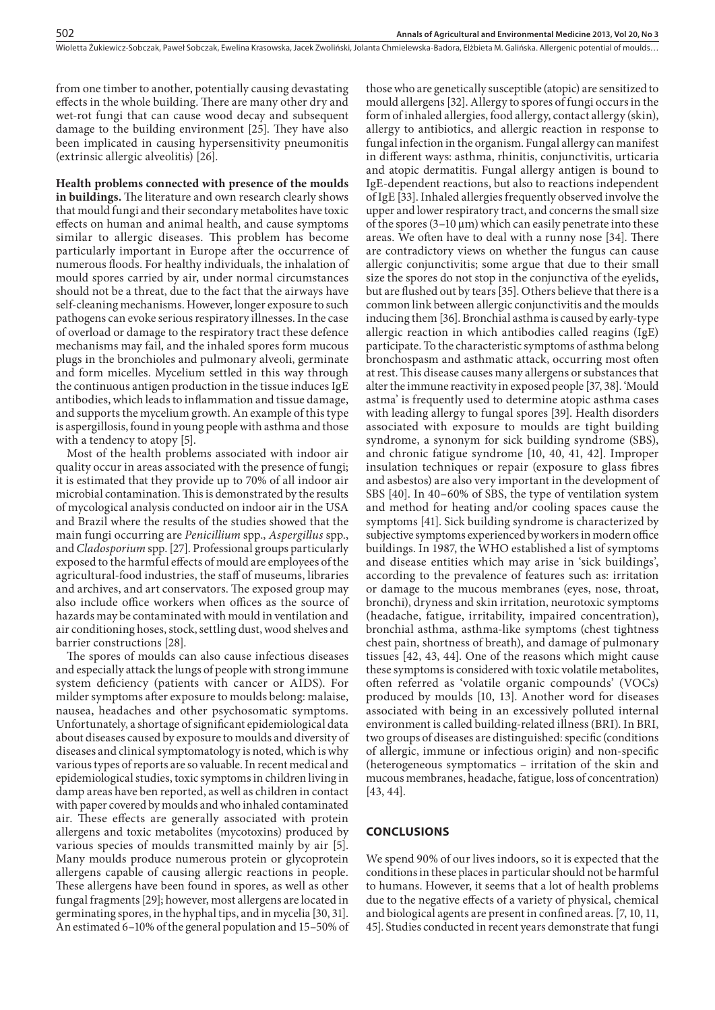Wioletta Żukiewicz-Sobczak, Paweł Sobczak, Ewelina Krasowska, Jacek Zwoliński, Jolanta Chmielewska-Badora, Elżbieta M. Galińska . Allergenic potential of moulds…

from one timber to another, potentially causing devastating effects in the whole building. There are many other dry and wet-rot fungi that can cause wood decay and subsequent damage to the building environment [25]. They have also been implicated in causing hypersensitivity pneumonitis (extrinsic allergic alveolitis) [26].

**Health problems connected with presence of the moulds in buildings.** The literature and own research clearly shows that mould fungi and their secondary metabolites have toxic effects on human and animal health, and cause symptoms similar to allergic diseases. This problem has become particularly important in Europe after the occurrence of numerous floods. For healthy individuals, the inhalation of mould spores carried by air, under normal circumstances should not be a threat, due to the fact that the airways have self-cleaning mechanisms. However, longer exposure to such pathogens can evoke serious respiratory illnesses. In the case of overload or damage to the respiratory tract these defence mechanisms may fail, and the inhaled spores form mucous plugs in the bronchioles and pulmonary alveoli, germinate and form micelles. Mycelium settled in this way through the continuous antigen production in the tissue induces IgE antibodies, which leads to inflammation and tissue damage, and supports the mycelium growth. An example of this type is aspergillosis, found in young people with asthma and those with a tendency to atopy [5].

Most of the health problems associated with indoor air quality occur in areas associated with the presence of fungi; it is estimated that they provide up to 70% of all indoor air microbial contamination. This is demonstrated by the results of mycological analysis conducted on indoor air in the USA and Brazil where the results of the studies showed that the main fungi occurring are *Penicillium* spp., *Aspergillus* spp., and *Cladosporium* spp. [27]. Professional groups particularly exposed to the harmful effects of mould are employees of the agricultural-food industries, the staff of museums, libraries and archives, and art conservators. The exposed group may also include office workers when offices as the source of hazards may be contaminated with mould in ventilation and air conditioning hoses, stock, settling dust, wood shelves and barrier constructions [28].

The spores of moulds can also cause infectious diseases and especially attack the lungs of people with strong immune system deficiency (patients with cancer or AIDS). For milder symptoms after exposure to moulds belong: malaise, nausea, headaches and other psychosomatic symptoms. Unfortunately, a shortage of significant epidemiological data about diseases caused by exposure to moulds and diversity of diseases and clinical symptomatology is noted, which is why various types of reports are so valuable. In recent medical and epidemiological studies, toxic symptoms in children living in damp areas have ben reported, as well as children in contact with paper covered by moulds and who inhaled contaminated air. These effects are generally associated with protein allergens and toxic metabolites (mycotoxins) produced by various species of moulds transmitted mainly by air [5]. Many moulds produce numerous protein or glycoprotein allergens capable of causing allergic reactions in people. These allergens have been found in spores, as well as other fungal fragments [29]; however, most allergens are located in germinating spores, in the hyphal tips, and in mycelia [30, 31]. An estimated 6–10% of the general population and 15–50% of

those who are genetically susceptible (atopic) are sensitized to mould allergens [32]. Allergy to spores of fungi occurs in the form of inhaled allergies, food allergy, contact allergy (skin), allergy to antibiotics, and allergic reaction in response to fungal infection in the organism. Fungal allergy can manifest in different ways: asthma, rhinitis, conjunctivitis, urticaria and atopic dermatitis. Fungal allergy antigen is bound to IgE-dependent reactions, but also to reactions independent of IgE [33]. Inhaled allergies frequently observed involve the upper and lower respiratory tract, and concerns the small size of the spores  $(3-10 \mu m)$  which can easily penetrate into these areas. We often have to deal with a runny nose [34]. There are contradictory views on whether the fungus can cause allergic conjunctivitis; some argue that due to their small size the spores do not stop in the conjunctiva of the eyelids, but are flushed out by tears [35]. Others believe that there is a common link between allergic conjunctivitis and the moulds inducing them [36]. Bronchial asthma is caused by early-type allergic reaction in which antibodies called reagins (IgE) participate. To the characteristic symptoms of asthma belong bronchospasm and asthmatic attack, occurring most often at rest. This disease causes many allergens or substances that alter the immune reactivity in exposed people [37, 38]. 'Mould astma' is frequently used to determine atopic asthma cases with leading allergy to fungal spores [39]. Health disorders associated with exposure to moulds are tight building syndrome, a synonym for sick building syndrome (SBS), and chronic fatigue syndrome [10, 40, 41, 42]. Improper insulation techniques or repair (exposure to glass fibres and asbestos) are also very important in the development of SBS [40]. In 40–60% of SBS, the type of ventilation system and method for heating and/or cooling spaces cause the symptoms [41]. Sick building syndrome is characterized by subjective symptoms experienced by workers in modern office buildings. In 1987, the WHO established a list of symptoms and disease entities which may arise in 'sick buildings', according to the prevalence of features such as: irritation or damage to the mucous membranes (eyes, nose, throat, bronchi), dryness and skin irritation, neurotoxic symptoms (headache, fatigue, irritability, impaired concentration), bronchial asthma, asthma-like symptoms (chest tightness chest pain, shortness of breath), and damage of pulmonary tissues [42, 43, 44]. One of the reasons which might cause these symptoms is considered with toxic volatile metabolites, often referred as 'volatile organic compounds' (VOCs) produced by moulds [10, 13]. Another word for diseases associated with being in an excessively polluted internal environment is called building-related illness (BRI). In BRI, two groups of diseases are distinguished: specific (conditions of allergic, immune or infectious origin) and non-specific (heterogeneous symptomatics – irritation of the skin and mucous membranes, headache, fatigue, loss of concentration) [43, 44].

## **CONCLUSIONS**

We spend 90% of our lives indoors, so it is expected that the conditions in these places in particular should not be harmful to humans. However, it seems that a lot of health problems due to the negative effects of a variety of physical, chemical and biological agents are present in confined areas. [7, 10, 11, 45]. Studies conducted in recent years demonstrate that fungi